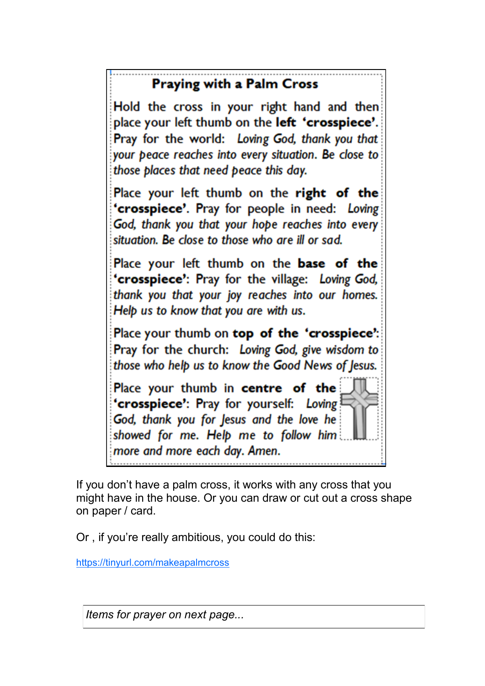#### **Praying with a Palm Cross**

Hold the cross in your right hand and then place your left thumb on the left 'crosspiece'. Pray for the world: Loving God, thank you that your peace reaches into every situation. Be close to those places that need peace this day.

Place your left thumb on the right of the 'crosspiece'. Pray for people in need: Loving God, thank you that your hope reaches into every situation. Be close to those who are ill or sad.

Place your left thumb on the **base of the** 'crosspiece': Pray for the village: Loving God, thank you that your joy reaches into our homes. Help us to know that you are with us.

Place your thumb on top of the 'crosspiece': Pray for the church: Loving God, give wisdom to those who help us to know the Good News of Jesus.

Place your thumb in centre of the 'crosspiece': Pray for yourself: Loving! God, thank you for Jesus and the love he showed for me. Help me to follow him more and more each day. Amen.

If you don't have a palm cross, it works with any cross that you might have in the house. Or you can draw or cut out a cross shape on paper / card.

Or , if you're really ambitious, you could do this:

<https://tinyurl.com/makeapalmcross>

*Items for prayer on next page...*